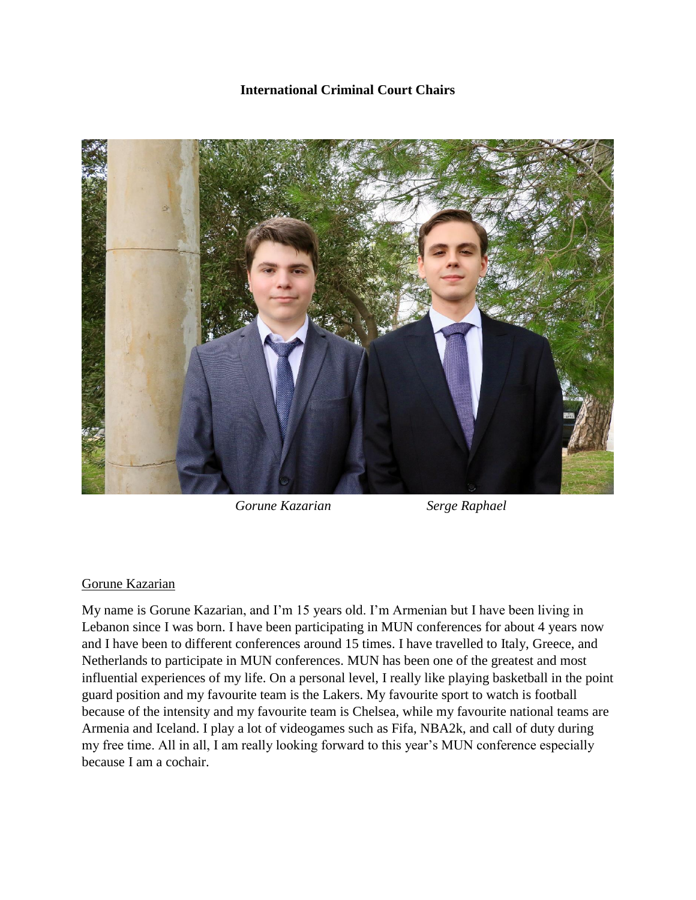## **International Criminal Court Chairs**



 *Gorune Kazarian Serge Raphael*

## Gorune Kazarian

My name is Gorune Kazarian, and I'm 15 years old. I'm Armenian but I have been living in Lebanon since I was born. I have been participating in MUN conferences for about 4 years now and I have been to different conferences around 15 times. I have travelled to Italy, Greece, and Netherlands to participate in MUN conferences. MUN has been one of the greatest and most influential experiences of my life. On a personal level, I really like playing basketball in the point guard position and my favourite team is the Lakers. My favourite sport to watch is football because of the intensity and my favourite team is Chelsea, while my favourite national teams are Armenia and Iceland. I play a lot of videogames such as Fifa, NBA2k, and call of duty during my free time. All in all, I am really looking forward to this year's MUN conference especially because I am a cochair.